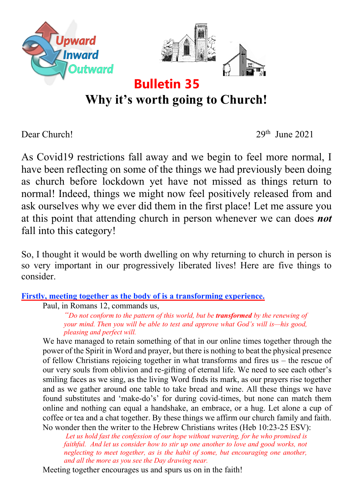

# **Why it's worth going to Church!**

Dear Church! 29th June 2021

As Covid19 restrictions fall away and we begin to feel more normal, I have been reflecting on some of the things we had previously been doing as church before lockdown yet have not missed as things return to normal! Indeed, things we might now feel positively released from and ask ourselves why we ever did them in the first place! Let me assure you at this point that attending church in person whenever we can does *not* fall into this category!

So, I thought it would be worth dwelling on why returning to church in person is so very important in our progressively liberated lives! Here are five things to consider.

## **Firstly, meeting together as the body of is a transforming experience.**

Paul, in Romans 12, commands us,

*"Do not conform to the pattern of this world, but be transformed by the renewing of your mind. Then you will be able to test and approve what God's will is—his good, pleasing and perfect will.*

We have managed to retain something of that in our online times together through the power of the Spirit in Word and prayer, but there is nothing to beat the physical presence of fellow Christians rejoicing together in what transforms and fires us – the rescue of our very souls from oblivion and re-gifting of eternal life. We need to see each other's smiling faces as we sing, as the living Word finds its mark, as our prayers rise together and as we gather around one table to take bread and wine. All these things we have found substitutes and 'make-do's' for during covid-times, but none can match them online and nothing can equal a handshake, an embrace, or a hug. Let alone a cup of coffee or tea and a chat together. By these things we affirm our church family and faith. No wonder then the writer to the Hebrew Christians writes (Heb 10:23-25 ESV):

*Let us hold fast the confession of our hope without wavering, for he who promised is faithful. And let us consider how to stir up one another to love and good works, not neglecting to meet together, as is the habit of some, but encouraging one another, and all the more as you see the Day drawing near.*

Meeting together encourages us and spurs us on in the faith!